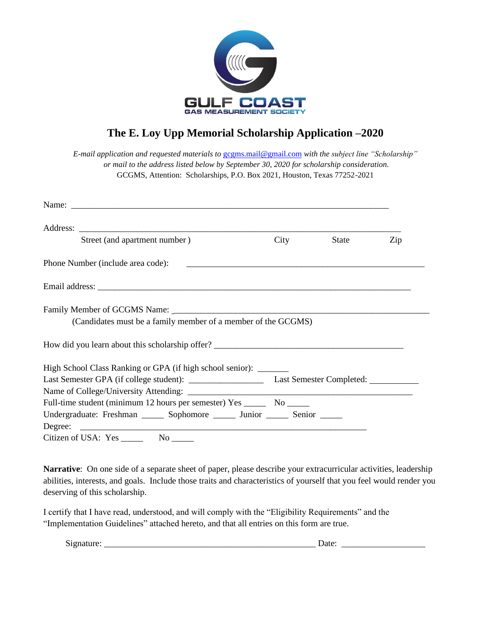

## **The E. Loy Upp Memorial Scholarship Application –2020**

*E-mail application and requested materials to* [gcgms.mail@gmail.com](mailto:gcgms.mail@gmail.com) *with the subject line "Scholarship" or mail to the address listed below by September 30, 2020 for scholarship consideration.*  GCGMS, Attention: Scholarships, P.O. Box 2021, Houston, Texas 77252-2021

|  | Street (and apartment number)                                                 |  | City                                              | State | Zip |
|--|-------------------------------------------------------------------------------|--|---------------------------------------------------|-------|-----|
|  | Phone Number (include area code):                                             |  | <u> 1980 - Jan James James Sandarík (f. 1980)</u> |       |     |
|  |                                                                               |  |                                                   |       |     |
|  |                                                                               |  |                                                   |       |     |
|  | (Candidates must be a family member of a member of the GCGMS)                 |  |                                                   |       |     |
|  | How did you learn about this scholarship offer?                               |  |                                                   |       |     |
|  | High School Class Ranking or GPA (if high school senior): ______              |  |                                                   |       |     |
|  |                                                                               |  |                                                   |       |     |
|  |                                                                               |  |                                                   |       |     |
|  | Full-time student (minimum 12 hours per semester) Yes __________ No _______   |  |                                                   |       |     |
|  | Undergraduate: Freshman _______ Sophomore _______ Junior ______ Senior ______ |  |                                                   |       |     |
|  |                                                                               |  |                                                   |       |     |
|  |                                                                               |  |                                                   |       |     |

**Narrative**: On one side of a separate sheet of paper, please describe your extracurricular activities, leadership abilities, interests, and goals. Include those traits and characteristics of yourself that you feel would render you deserving of this scholarship.

I certify that I have read, understood, and will comply with the "Eligibility Requirements" and the "Implementation Guidelines" attached hereto, and that all entries on this form are true.

| _________ |  |
|-----------|--|
|           |  |